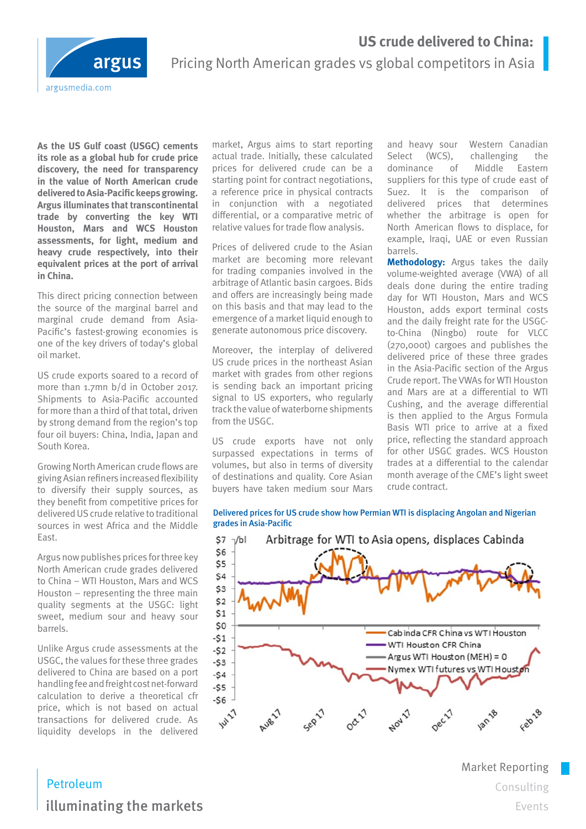# **US crude delivered to China:**



# Pricing North American grades vs global competitors in Asia

**As the US Gulf coast (USGC) cements its role as a global hub for crude price discovery, the need for transparency in the value of North American crude delivered to Asia-Pacific keeps growing. Argus illuminates that transcontinental trade by converting the key WTI Houston, Mars and WCS Houston assessments, for light, medium and heavy crude respectively, into their equivalent prices at the port of arrival in China.**

This direct pricing connection between the source of the marginal barrel and marginal crude demand from Asia-Pacific's fastest-growing economies is one of the key drivers of today's global oil market.

US crude exports soared to a record of more than 1.7mn b/d in October 2017. Shipments to Asia-Pacific accounted for more than a third of that total, driven by strong demand from the region's top four oil buyers: China, India, Japan and South Korea.

Growing North American crude flows are giving Asian refiners increased flexibility to diversify their supply sources, as they benefit from competitive prices for delivered US crude relative to traditional sources in west Africa and the Middle East.

Argus now publishes prices for three key North American crude grades delivered to China – WTI Houston, Mars and WCS Houston – representing the three main quality segments at the USGC: light sweet, medium sour and heavy sour barrels.

Unlike Argus crude assessments at the USGC, the values for these three grades delivered to China are based on a port handling fee and freight cost net-forward calculation to derive a theoretical cfr price, which is not based on actual transactions for delivered crude. As liquidity develops in the delivered

market, Argus aims to start reporting actual trade. Initially, these calculated prices for delivered crude can be a starting point for contract negotiations, a reference price in physical contracts in conjunction with a negotiated differential, or a comparative metric of relative values for trade flow analysis.

Prices of delivered crude to the Asian market are becoming more relevant for trading companies involved in the arbitrage of Atlantic basin cargoes. Bids and offers are increasingly being made on this basis and that may lead to the emergence of a market liquid enough to generate autonomous price discovery.

Moreover, the interplay of delivered US crude prices in the northeast Asian market with grades from other regions is sending back an important pricing signal to US exporters, who regularly track the value of waterborne shipments from the USGC.

US crude exports have not only surpassed expectations in terms of volumes, but also in terms of diversity of destinations and quality. Core Asian buyers have taken medium sour Mars

and heavy sour Western Canadian Select (WCS), challenging the dominance of Middle Eastern suppliers for this type of crude east of Suez. It is the comparison of delivered prices that determines whether the arbitrage is open for North American flows to displace, for example, Iraqi, UAE or even Russian barrels.

**Methodology:** Argus takes the daily volume-weighted average (VWA) of all deals done during the entire trading day for WTI Houston, Mars and WCS Houston, adds export terminal costs and the daily freight rate for the USGCto-China (Ningbo) route for VLCC (270,000t) cargoes and publishes the delivered price of these three grades in the Asia-Pacific section of the Argus Crude report. The VWAs for WTI Houston and Mars are at a differential to WTI Cushing, and the average differential is then applied to the Argus Formula Basis WTI price to arrive at a fixed price, reflecting the standard approach for other USGC grades. WCS Houston trades at a differential to the calendar month average of the CME's light sweet crude contract.

Delivered prices for US crude show how Permian WTI is displacing Angolan and Nigerian grades in Asia-Pacific



Market Reporting Consulting Events

Petroleum illuminating the markets